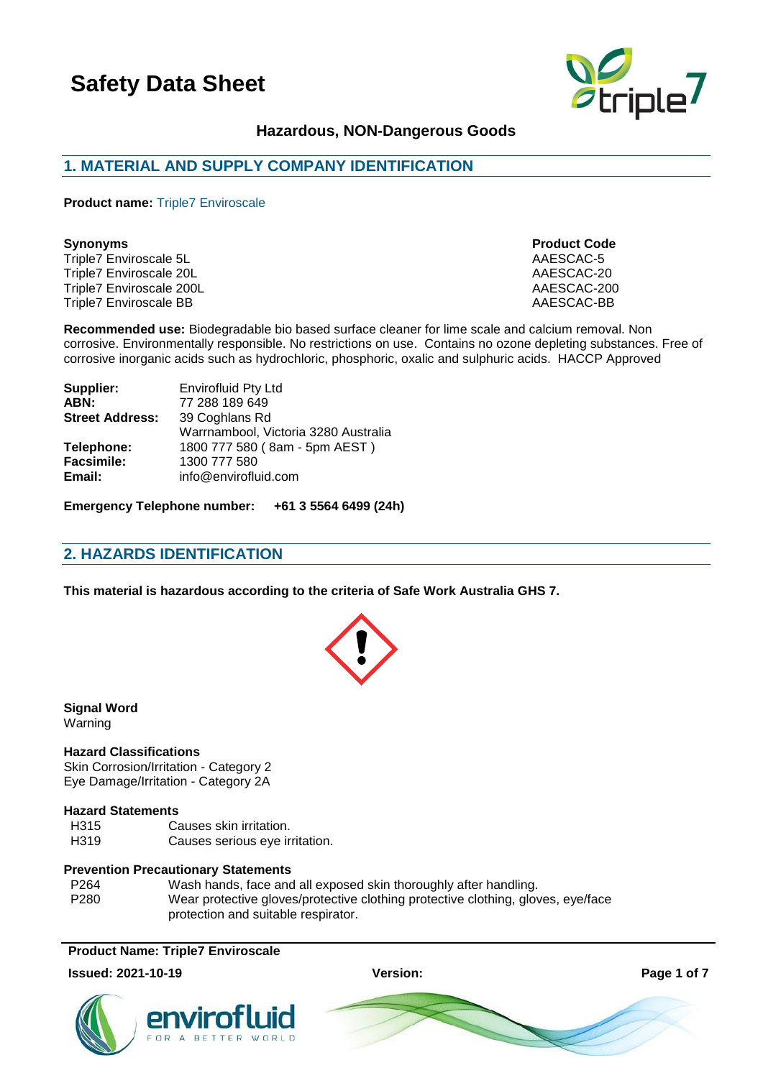

### **Hazardous, NON-Dangerous Goods**

### **1. MATERIAL AND SUPPLY COMPANY IDENTIFICATION**

**Product name:** Triple7 Enviroscale

Triple7 Enviroscale 5L AAESCAC-5 Triple7 Enviroscale 20L AAESCAC-20 Triple7 Enviroscale 200L<br>Triple7 Enviroscale BB<br>Triple7 Enviroscale BB Triple7 Enviroscale BB

# **Synonyms Product Code**

**Recommended use:** Biodegradable bio based surface cleaner for lime scale and calcium removal. Non corrosive. Environmentally responsible. No restrictions on use. Contains no ozone depleting substances. Free of corrosive inorganic acids such as hydrochloric, phosphoric, oxalic and sulphuric acids. HACCP Approved

| Supplier:              | <b>Envirofluid Pty Ltd</b>           |
|------------------------|--------------------------------------|
| ABN:                   | 77 288 189 649                       |
| <b>Street Address:</b> | 39 Coghlans Rd                       |
|                        | Warrnambool, Victoria 3280 Australia |
| Telephone:             | 1800 777 580 (8am - 5pm AEST)        |
| <b>Facsimile:</b>      | 1300 777 580                         |
| Email:                 | info@envirofluid.com                 |
|                        |                                      |

**Emergency Telephone number: +61 3 5564 6499 (24h)**

### **2. HAZARDS IDENTIFICATION**

**This material is hazardous according to the criteria of Safe Work Australia GHS 7.**

**Signal Word** Warning

#### **Hazard Classifications**

Skin Corrosion/Irritation - Category 2 Eye Damage/Irritation - Category 2A

### **Hazard Statements**

| H315 | Causes skin irritation.        |
|------|--------------------------------|
| H319 | Causes serious eye irritation. |

#### **Prevention Precautionary Statements**

P264 Wash hands, face and all exposed skin thoroughly after handling. P280 Wear protective gloves/protective clothing protective clothing, gloves, eye/face protection and suitable respirator.

### **Product Name: Triple7 Enviroscale**

#### **Issued: 2021-10-19 Version: Page 1 of 7**



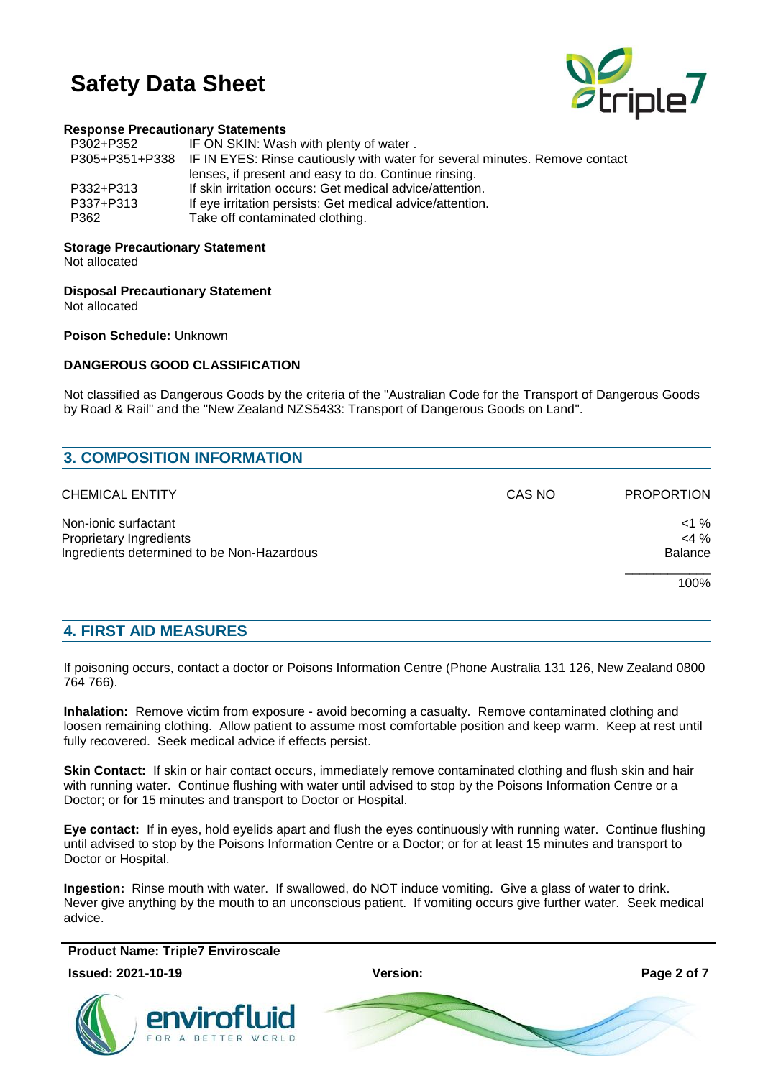

### **Response Precautionary Statements**

| P302+P352 | IF ON SKIN: Wash with plenty of water.                                                     |
|-----------|--------------------------------------------------------------------------------------------|
|           | P305+P351+P338 IF IN EYES: Rinse cautiously with water for several minutes. Remove contact |
|           | lenses, if present and easy to do. Continue rinsing.                                       |
| P332+P313 | If skin irritation occurs: Get medical advice/attention.                                   |
| P337+P313 | If eye irritation persists: Get medical advice/attention.                                  |
| P362      | Take off contaminated clothing.                                                            |
|           |                                                                                            |

### **Storage Precautionary Statement**

Not allocated

**Disposal Precautionary Statement**

Not allocated

**Poison Schedule:** Unknown

### **DANGEROUS GOOD CLASSIFICATION**

Not classified as Dangerous Goods by the criteria of the "Australian Code for the Transport of Dangerous Goods by Road & Rail" and the "New Zealand NZS5433: Transport of Dangerous Goods on Land".

| CAS NO | <b>PROPORTION</b> |
|--------|-------------------|
|        | $<$ 1 %           |
|        | $<$ 4 %           |
|        | <b>Balance</b>    |
|        | 100%              |
|        |                   |

### **4. FIRST AID MEASURES**

If poisoning occurs, contact a doctor or Poisons Information Centre (Phone Australia 131 126, New Zealand 0800 764 766).

**Inhalation:** Remove victim from exposure - avoid becoming a casualty. Remove contaminated clothing and loosen remaining clothing. Allow patient to assume most comfortable position and keep warm. Keep at rest until fully recovered. Seek medical advice if effects persist.

**Skin Contact:** If skin or hair contact occurs, immediately remove contaminated clothing and flush skin and hair with running water. Continue flushing with water until advised to stop by the Poisons Information Centre or a Doctor; or for 15 minutes and transport to Doctor or Hospital.

**Eye contact:** If in eyes, hold eyelids apart and flush the eyes continuously with running water. Continue flushing until advised to stop by the Poisons Information Centre or a Doctor; or for at least 15 minutes and transport to Doctor or Hospital.

**Ingestion:** Rinse mouth with water. If swallowed, do NOT induce vomiting. Give a glass of water to drink. Never give anything by the mouth to an unconscious patient. If vomiting occurs give further water. Seek medical advice.

**Product Name: Triple7 Enviroscale**

**Issued: 2021-10-19 Version: Page 2 of 7**



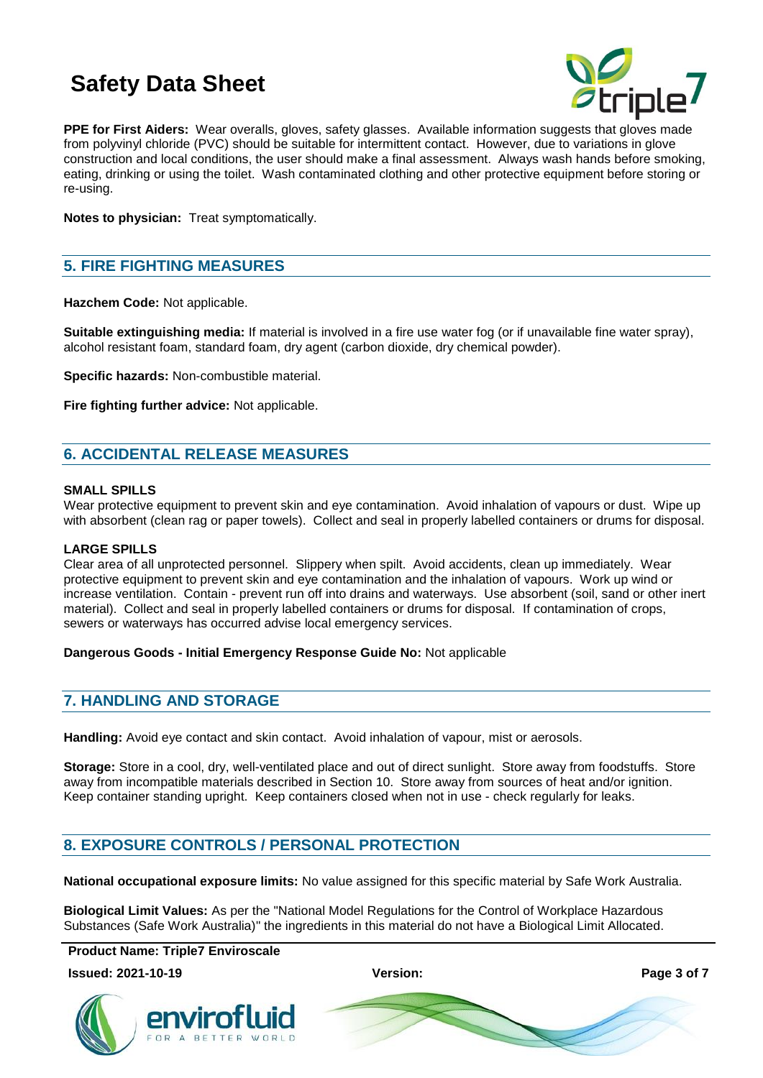

**PPE for First Aiders:** Wear overalls, gloves, safety glasses. Available information suggests that gloves made from polyvinyl chloride (PVC) should be suitable for intermittent contact. However, due to variations in glove construction and local conditions, the user should make a final assessment. Always wash hands before smoking, eating, drinking or using the toilet. Wash contaminated clothing and other protective equipment before storing or re-using.

**Notes to physician:** Treat symptomatically.

### **5. FIRE FIGHTING MEASURES**

**Hazchem Code:** Not applicable.

**Suitable extinguishing media:** If material is involved in a fire use water fog (or if unavailable fine water spray), alcohol resistant foam, standard foam, dry agent (carbon dioxide, dry chemical powder).

**Specific hazards:** Non-combustible material.

**Fire fighting further advice:** Not applicable.

### **6. ACCIDENTAL RELEASE MEASURES**

### **SMALL SPILLS**

Wear protective equipment to prevent skin and eye contamination. Avoid inhalation of vapours or dust. Wipe up with absorbent (clean rag or paper towels). Collect and seal in properly labelled containers or drums for disposal.

### **LARGE SPILLS**

Clear area of all unprotected personnel. Slippery when spilt. Avoid accidents, clean up immediately. Wear protective equipment to prevent skin and eye contamination and the inhalation of vapours. Work up wind or increase ventilation. Contain - prevent run off into drains and waterways. Use absorbent (soil, sand or other inert material). Collect and seal in properly labelled containers or drums for disposal. If contamination of crops, sewers or waterways has occurred advise local emergency services.

### **Dangerous Goods - Initial Emergency Response Guide No:** Not applicable

### **7. HANDLING AND STORAGE**

**Handling:** Avoid eye contact and skin contact. Avoid inhalation of vapour, mist or aerosols.

**Storage:** Store in a cool, dry, well-ventilated place and out of direct sunlight. Store away from foodstuffs. Store away from incompatible materials described in Section 10. Store away from sources of heat and/or ignition. Keep container standing upright. Keep containers closed when not in use - check regularly for leaks.

### **8. EXPOSURE CONTROLS / PERSONAL PROTECTION**

**National occupational exposure limits:** No value assigned for this specific material by Safe Work Australia.

**Biological Limit Values:** As per the "National Model Regulations for the Control of Workplace Hazardous Substances (Safe Work Australia)" the ingredients in this material do not have a Biological Limit Allocated.

**Product Name: Triple7 Enviroscale**

**Issued: 2021-10-19 Version: Page 3 of 7**



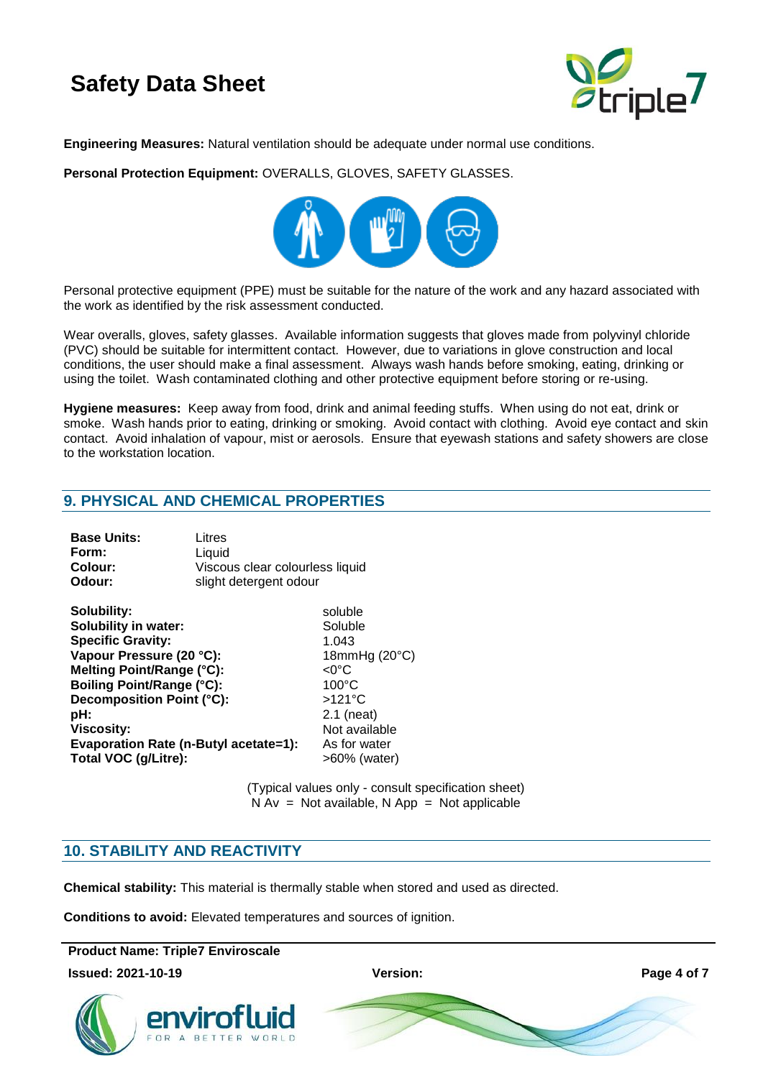

**Engineering Measures:** Natural ventilation should be adequate under normal use conditions.

**Personal Protection Equipment:** OVERALLS, GLOVES, SAFETY GLASSES.



Personal protective equipment (PPE) must be suitable for the nature of the work and any hazard associated with the work as identified by the risk assessment conducted.

Wear overalls, gloves, safety glasses. Available information suggests that gloves made from polyvinyl chloride (PVC) should be suitable for intermittent contact. However, due to variations in glove construction and local conditions, the user should make a final assessment. Always wash hands before smoking, eating, drinking or using the toilet. Wash contaminated clothing and other protective equipment before storing or re-using.

**Hygiene measures:** Keep away from food, drink and animal feeding stuffs. When using do not eat, drink or smoke. Wash hands prior to eating, drinking or smoking. Avoid contact with clothing. Avoid eye contact and skin contact. Avoid inhalation of vapour, mist or aerosols. Ensure that eyewash stations and safety showers are close to the workstation location.

### **9. PHYSICAL AND CHEMICAL PROPERTIES**

| <b>Base Units:</b> | Litres                          |
|--------------------|---------------------------------|
| Form:              | Liauid                          |
| Colour:            | Viscous clear colourless liquid |
| Odour:             | slight detergent odour          |

| Solubility:                           | soluble            |
|---------------------------------------|--------------------|
| <b>Solubility in water:</b>           | Soluble            |
| <b>Specific Gravity:</b>              | 1.043              |
| Vapour Pressure (20 °C):              | 18mmHg (20°C)      |
| Melting Point/Range (°C):             | $<$ 0 $^{\circ}$ C |
| <b>Boiling Point/Range (°C):</b>      | $100^{\circ}$ C    |
| Decomposition Point (°C):             | $>121^{\circ}$ C   |
| pH:                                   | $2.1$ (neat)       |
| <b>Viscosity:</b>                     | Not available      |
| Evaporation Rate (n-Butyl acetate=1): | As for water       |
| Total VOC (g/Litre):                  | >60% (water)       |

(Typical values only - consult specification sheet)  $N Av = Not available, N App = Not applicable$ 

### **10. STABILITY AND REACTIVITY**

**Chemical stability:** This material is thermally stable when stored and used as directed.

**Conditions to avoid:** Elevated temperatures and sources of ignition.

**Product Name: Triple7 Enviroscale**

**Issued: 2021-10-19 Version: Page 4 of 7**



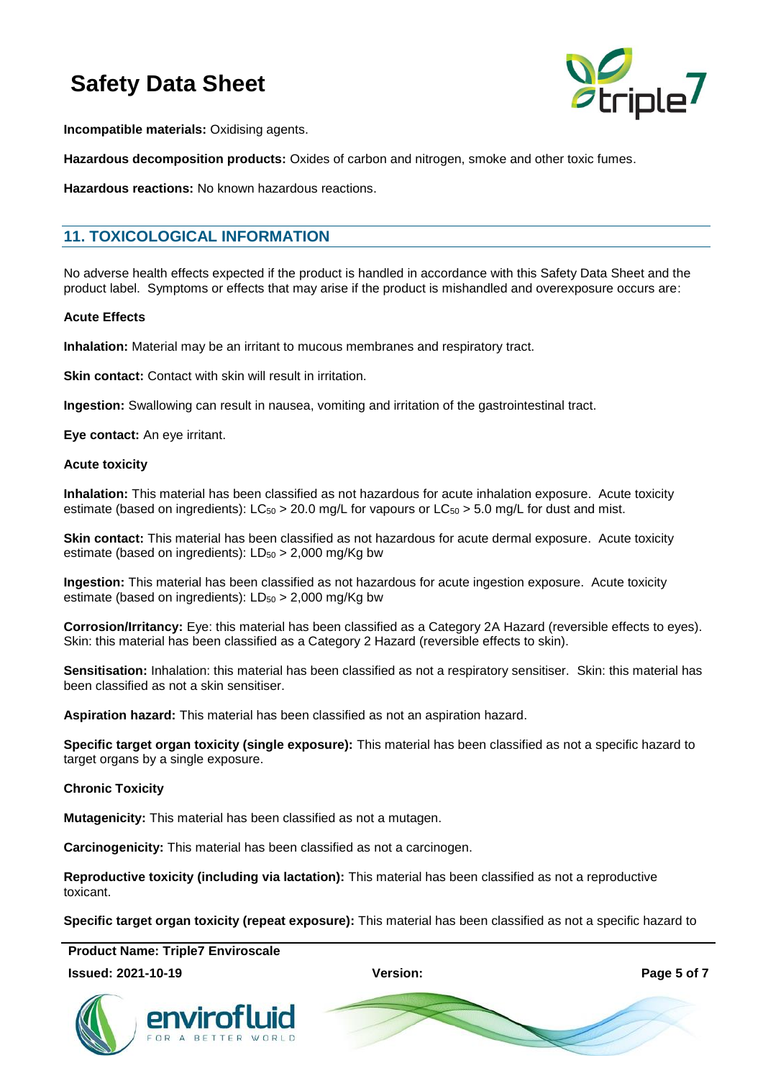

**Incompatible materials:** Oxidising agents.

**Hazardous decomposition products:** Oxides of carbon and nitrogen, smoke and other toxic fumes.

**Hazardous reactions:** No known hazardous reactions.

### **11. TOXICOLOGICAL INFORMATION**

No adverse health effects expected if the product is handled in accordance with this Safety Data Sheet and the product label. Symptoms or effects that may arise if the product is mishandled and overexposure occurs are:

#### **Acute Effects**

**Inhalation:** Material may be an irritant to mucous membranes and respiratory tract.

**Skin contact:** Contact with skin will result in irritation.

**Ingestion:** Swallowing can result in nausea, vomiting and irritation of the gastrointestinal tract.

**Eye contact:** An eye irritant.

#### **Acute toxicity**

**Inhalation:** This material has been classified as not hazardous for acute inhalation exposure. Acute toxicity estimate (based on ingredients):  $LC_{50} > 20.0$  mg/L for vapours or  $LC_{50} > 5.0$  mg/L for dust and mist.

**Skin contact:** This material has been classified as not hazardous for acute dermal exposure. Acute toxicity estimate (based on ingredients):  $LD_{50} > 2,000$  mg/Kg bw

**Ingestion:** This material has been classified as not hazardous for acute ingestion exposure. Acute toxicity estimate (based on ingredients):  $LD_{50} > 2,000$  mg/Kg bw

**Corrosion/Irritancy:** Eye: this material has been classified as a Category 2A Hazard (reversible effects to eyes). Skin: this material has been classified as a Category 2 Hazard (reversible effects to skin).

**Sensitisation:** Inhalation: this material has been classified as not a respiratory sensitiser. Skin: this material has been classified as not a skin sensitiser.

**Aspiration hazard:** This material has been classified as not an aspiration hazard.

**Specific target organ toxicity (single exposure):** This material has been classified as not a specific hazard to target organs by a single exposure.

### **Chronic Toxicity**

**Mutagenicity:** This material has been classified as not a mutagen.

**Carcinogenicity:** This material has been classified as not a carcinogen.

**Reproductive toxicity (including via lactation):** This material has been classified as not a reproductive toxicant.

**Specific target organ toxicity (repeat exposure):** This material has been classified as not a specific hazard to

**Product Name: Triple7 Enviroscale**

#### **Issued: 2021-10-19 Version: Page 5 of 7**





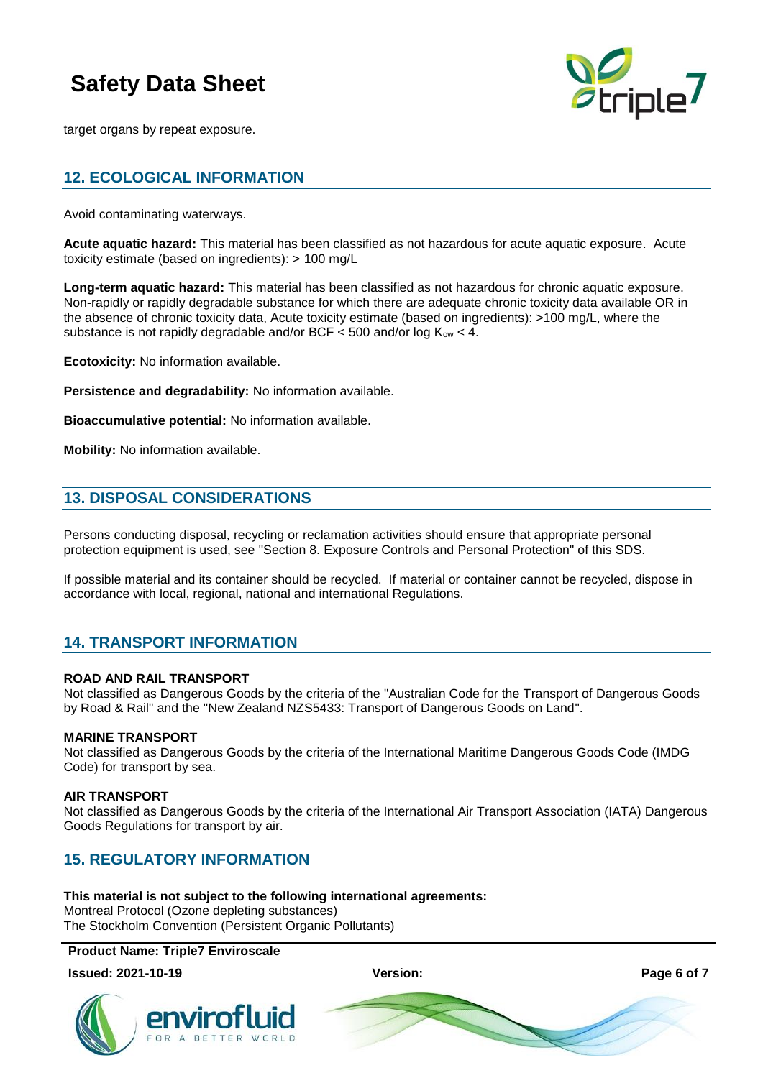

target organs by repeat exposure.

### **12. ECOLOGICAL INFORMATION**

Avoid contaminating waterways.

**Acute aquatic hazard:** This material has been classified as not hazardous for acute aquatic exposure. Acute toxicity estimate (based on ingredients): > 100 mg/L

**Long-term aquatic hazard:** This material has been classified as not hazardous for chronic aquatic exposure. Non-rapidly or rapidly degradable substance for which there are adequate chronic toxicity data available OR in the absence of chronic toxicity data, Acute toxicity estimate (based on ingredients): >100 mg/L, where the substance is not rapidly degradable and/or BCF  $\lt$  500 and/or log  $K_{ow} \lt$  4.

**Ecotoxicity:** No information available.

**Persistence and degradability:** No information available.

**Bioaccumulative potential:** No information available.

**Mobility:** No information available.

### **13. DISPOSAL CONSIDERATIONS**

Persons conducting disposal, recycling or reclamation activities should ensure that appropriate personal protection equipment is used, see "Section 8. Exposure Controls and Personal Protection" of this SDS.

If possible material and its container should be recycled. If material or container cannot be recycled, dispose in accordance with local, regional, national and international Regulations.

### **14. TRANSPORT INFORMATION**

### **ROAD AND RAIL TRANSPORT**

Not classified as Dangerous Goods by the criteria of the "Australian Code for the Transport of Dangerous Goods by Road & Rail" and the "New Zealand NZS5433: Transport of Dangerous Goods on Land".

### **MARINE TRANSPORT**

Not classified as Dangerous Goods by the criteria of the International Maritime Dangerous Goods Code (IMDG Code) for transport by sea.

### **AIR TRANSPORT**

Not classified as Dangerous Goods by the criteria of the International Air Transport Association (IATA) Dangerous Goods Regulations for transport by air.

### **15. REGULATORY INFORMATION**

### **This material is not subject to the following international agreements:**

Montreal Protocol (Ozone depleting substances) The Stockholm Convention (Persistent Organic Pollutants)

### **Product Name: Triple7 Enviroscale**

**Issued: 2021-10-19 Version: Page 6 of 7**